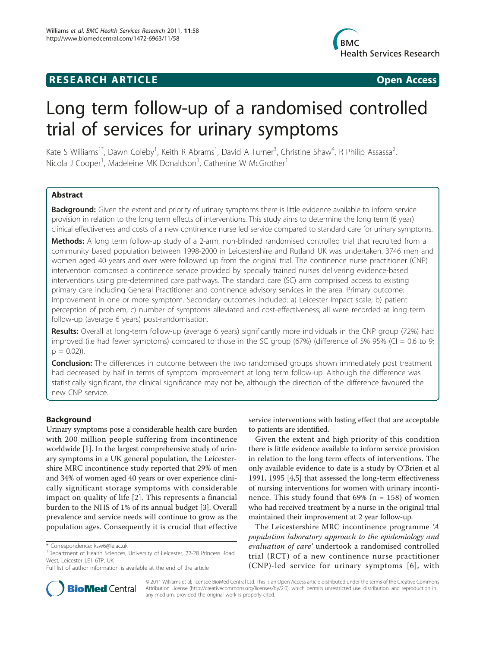## **RESEARCH ARTICLE Example 2018 CONSIDERING ACCESS**



# Long term follow-up of a randomised controlled trial of services for urinary symptoms

Kate S Williams<sup>1\*</sup>, Dawn Coleby<sup>1</sup>, Keith R Abrams<sup>1</sup>, David A Turner<sup>3</sup>, Christine Shaw<sup>4</sup>, R Philip Assassa<sup>2</sup> , Nicola J Cooper<sup>1</sup>, Madeleine MK Donaldson<sup>1</sup>, Catherine W McGrother<sup>1</sup>

## Abstract

Background: Given the extent and priority of urinary symptoms there is little evidence available to inform service provision in relation to the long term effects of interventions. This study aims to determine the long term (6 year) clinical effectiveness and costs of a new continence nurse led service compared to standard care for urinary symptoms.

Methods: A long term follow-up study of a 2-arm, non-blinded randomised controlled trial that recruited from a community based population between 1998-2000 in Leicestershire and Rutland UK was undertaken. 3746 men and women aged 40 years and over were followed up from the original trial. The continence nurse practitioner (CNP) intervention comprised a continence service provided by specially trained nurses delivering evidence-based interventions using pre-determined care pathways. The standard care (SC) arm comprised access to existing primary care including General Practitioner and continence advisory services in the area. Primary outcome: Improvement in one or more symptom. Secondary outcomes included: a) Leicester Impact scale; b) patient perception of problem; c) number of symptoms alleviated and cost-effectiveness; all were recorded at long term follow-up (average 6 years) post-randomisation.

Results: Overall at long-term follow-up (average 6 years) significantly more individuals in the CNP group (72%) had improved (i.e had fewer symptoms) compared to those in the SC group (67%) (difference of 5% 95% (CI = 0.6 to 9;  $p = 0.02)$ ).

**Conclusion:** The differences in outcome between the two randomised groups shown immediately post treatment had decreased by half in terms of symptom improvement at long term follow-up. Although the difference was statistically significant, the clinical significance may not be, although the direction of the difference favoured the new CNP service.

### Background

Urinary symptoms pose a considerable health care burden with 200 million people suffering from incontinence worldwide [\[1](#page-8-0)]. In the largest comprehensive study of urinary symptoms in a UK general population, the Leicestershire MRC incontinence study reported that 29% of men and 34% of women aged 40 years or over experience clinically significant storage symptoms with considerable impact on quality of life [[2](#page-8-0)]. This represents a financial burden to the NHS of 1% of its annual budget [\[3](#page-8-0)]. Overall prevalence and service needs will continue to grow as the population ages. Consequently it is crucial that effective

service interventions with lasting effect that are acceptable to patients are identified.

Given the extent and high priority of this condition there is little evidence available to inform service provision in relation to the long term effects of interventions. The only available evidence to date is a study by O'Brien et al 1991, 1995 [[4,5\]](#page-8-0) that assessed the long-term effectiveness of nursing interventions for women with urinary incontinence. This study found that  $69\%$  (n = 158) of women who had received treatment by a nurse in the original trial maintained their improvement at 2 year follow-up.

The Leicestershire MRC incontinence programme 'A population laboratory approach to the epidemiology and evaluation of care' undertook a randomised controlled trial (RCT) of a new continence nurse practitioner (CNP)-led service for urinary symptoms [[6\]](#page-8-0), with



© 2011 Williams et al; licensee BioMed Central Ltd. This is an Open Access article distributed under the terms of the Creative Commons Attribution License [\(http://creativecommons.org/licenses/by/2.0](http://creativecommons.org/licenses/by/2.0)), which permits unrestricted use, distribution, and reproduction in any medium, provided the original work is properly cited.

<sup>\*</sup> Correspondence: [ksw6@le.ac.uk](mailto:ksw6@le.ac.uk)

<sup>&</sup>lt;sup>1</sup>Department of Health Sciences, University of Leicester, 22-28 Princess Road West, Leicester LE1 6TP, UK

Full list of author information is available at the end of the article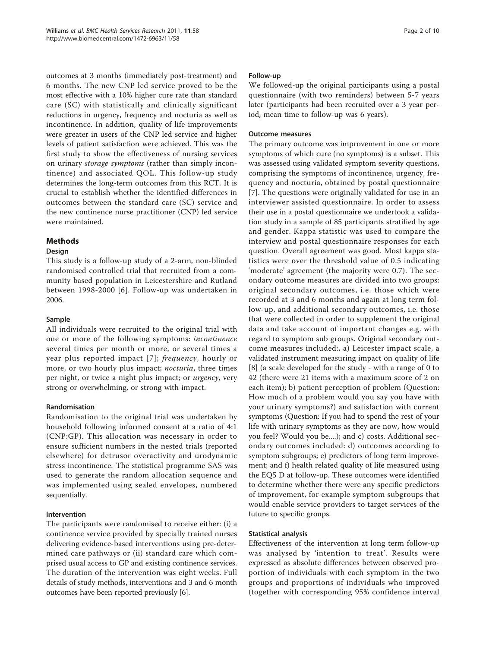outcomes at 3 months (immediately post-treatment) and 6 months. The new CNP led service proved to be the most effective with a 10% higher cure rate than standard care (SC) with statistically and clinically significant reductions in urgency, frequency and nocturia as well as incontinence. In addition, quality of life improvements were greater in users of the CNP led service and higher levels of patient satisfaction were achieved. This was the first study to show the effectiveness of nursing services on urinary storage symptoms (rather than simply incontinence) and associated QOL. This follow-up study determines the long-term outcomes from this RCT. It is crucial to establish whether the identified differences in outcomes between the standard care (SC) service and the new continence nurse practitioner (CNP) led service were maintained.

## Methods

### Design

This study is a follow-up study of a 2-arm, non-blinded randomised controlled trial that recruited from a community based population in Leicestershire and Rutland between 1998-2000 [[6](#page-8-0)]. Follow-up was undertaken in 2006.

## Sample

All individuals were recruited to the original trial with one or more of the following symptoms: incontinence several times per month or more, or several times a year plus reported impact [[7\]](#page-8-0); frequency, hourly or more, or two hourly plus impact; *nocturia*, three times per night, or twice a night plus impact; or *urgency*, very strong or overwhelming, or strong with impact.

### Randomisation

Randomisation to the original trial was undertaken by household following informed consent at a ratio of 4:1 (CNP:GP). This allocation was necessary in order to ensure sufficient numbers in the nested trials (reported elsewhere) for detrusor overactivity and urodynamic stress incontinence. The statistical programme SAS was used to generate the random allocation sequence and was implemented using sealed envelopes, numbered sequentially.

### Intervention

The participants were randomised to receive either: (i) a continence service provided by specially trained nurses delivering evidence-based interventions using pre-determined care pathways or (ii) standard care which comprised usual access to GP and existing continence services. The duration of the intervention was eight weeks. Full details of study methods, interventions and 3 and 6 month outcomes have been reported previously [\[6\]](#page-8-0).

## Follow-up

We followed-up the original participants using a postal questionnaire (with two reminders) between 5-7 years later (participants had been recruited over a 3 year period, mean time to follow-up was 6 years).

## Outcome measures

The primary outcome was improvement in one or more symptoms of which cure (no symptoms) is a subset. This was assessed using validated symptom severity questions, comprising the symptoms of incontinence, urgency, frequency and nocturia, obtained by postal questionnaire [[7\]](#page-8-0). The questions were originally validated for use in an interviewer assisted questionnaire. In order to assess their use in a postal questionnaire we undertook a validation study in a sample of 85 participants stratified by age and gender. Kappa statistic was used to compare the interview and postal questionnaire responses for each question. Overall agreement was good. Most kappa statistics were over the threshold value of 0.5 indicating 'moderate' agreement (the majority were 0.7). The secondary outcome measures are divided into two groups: original secondary outcomes, i.e. those which were recorded at 3 and 6 months and again at long term follow-up, and additional secondary outcomes, i.e. those that were collected in order to supplement the original data and take account of important changes e.g. with regard to symptom sub groups. Original secondary outcome measures included:, a) Leicester impact scale, a validated instrument measuring impact on quality of life [[8\]](#page-8-0) (a scale developed for the study - with a range of 0 to 42 (there were 21 items with a maximum score of 2 on each item); b) patient perception of problem (Question: How much of a problem would you say you have with your urinary symptoms?) and satisfaction with current symptoms (Question: If you had to spend the rest of your life with urinary symptoms as they are now, how would you feel? Would you be....); and c) costs. Additional secondary outcomes included: d) outcomes according to symptom subgroups; e) predictors of long term improvement; and f) health related quality of life measured using the EQ5 D at follow-up. These outcomes were identified to determine whether there were any specific predictors of improvement, for example symptom subgroups that would enable service providers to target services of the future to specific groups.

### Statistical analysis

Effectiveness of the intervention at long term follow-up was analysed by 'intention to treat'. Results were expressed as absolute differences between observed proportion of individuals with each symptom in the two groups and proportions of individuals who improved (together with corresponding 95% confidence interval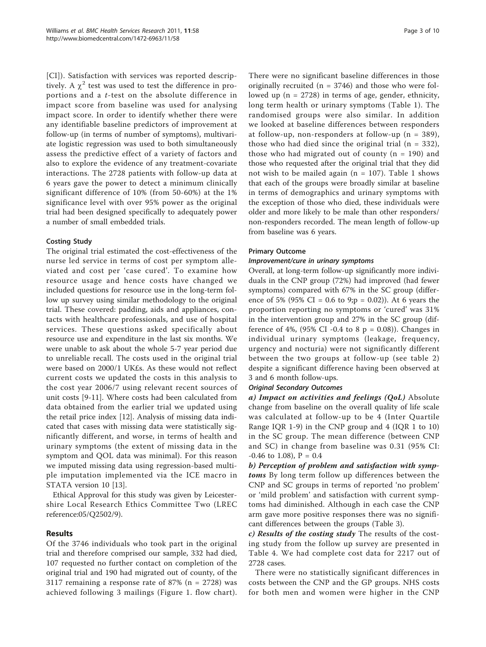[CI]). Satisfaction with services was reported descriptively. A  $\chi^2$  test was used to test the difference in proportions and a t-test on the absolute difference in impact score from baseline was used for analysing impact score. In order to identify whether there were any identifiable baseline predictors of improvement at follow-up (in terms of number of symptoms), multivariate logistic regression was used to both simultaneously assess the predictive effect of a variety of factors and also to explore the evidence of any treatment-covariate interactions. The 2728 patients with follow-up data at 6 years gave the power to detect a minimum clinically significant difference of 10% (from 50-60%) at the 1% significance level with over 95% power as the original trial had been designed specifically to adequately power a number of small embedded trials.

### Costing Study

The original trial estimated the cost-effectiveness of the nurse led service in terms of cost per symptom alleviated and cost per 'case cured'. To examine how resource usage and hence costs have changed we included questions for resource use in the long-term follow up survey using similar methodology to the original trial. These covered: padding, aids and appliances, contacts with healthcare professionals, and use of hospital services. These questions asked specifically about resource use and expenditure in the last six months. We were unable to ask about the whole 5-7 year period due to unreliable recall. The costs used in the original trial were based on 2000/1 UK£s. As these would not reflect current costs we updated the costs in this analysis to the cost year 2006/7 using relevant recent sources of unit costs [\[9](#page-8-0)-[11\]](#page-8-0). Where costs had been calculated from data obtained from the earlier trial we updated using the retail price index [\[12](#page-8-0)]. Analysis of missing data indicated that cases with missing data were statistically significantly different, and worse, in terms of health and urinary symptoms (the extent of missing data in the symptom and QOL data was minimal). For this reason we imputed missing data using regression-based multiple imputation implemented via the ICE macro in STATA version 10 [\[13](#page-8-0)].

Ethical Approval for this study was given by Leicestershire Local Research Ethics Committee Two (LREC reference:05/Q2502/9).

### Results

Of the 3746 individuals who took part in the original trial and therefore comprised our sample, 332 had died, 107 requested no further contact on completion of the original trial and 190 had migrated out of county, of the 3117 remaining a response rate of 87% ( $n = 2728$ ) was achieved following 3 mailings (Figure [1](#page-3-0). flow chart). There were no significant baseline differences in those originally recruited ( $n = 3746$ ) and those who were followed up (n = 2728) in terms of age, gender, ethnicity, long term health or urinary symptoms (Table [1](#page-4-0)). The randomised groups were also similar. In addition we looked at baseline differences between responders at follow-up, non-responders at follow-up ( $n = 389$ ), those who had died since the original trial  $(n = 332)$ , those who had migrated out of county ( $n = 190$ ) and those who requested after the original trial that they did not wish to be mailed again ( $n = 107$  $n = 107$  $n = 107$ ). Table 1 shows that each of the groups were broadly similar at baseline in terms of demographics and urinary symptoms with the exception of those who died, these individuals were older and more likely to be male than other responders/ non-responders recorded. The mean length of follow-up from baseline was 6 years.

### Primary Outcome

#### Improvement/cure in urinary symptoms

Overall, at long-term follow-up significantly more individuals in the CNP group (72%) had improved (had fewer symptoms) compared with 67% in the SC group (difference of 5% (95% CI = 0.6 to 9;p = 0.02)). At 6 years the proportion reporting no symptoms or 'cured' was 31% in the intervention group and 27% in the SC group (difference of 4%, (95% CI -0.4 to 8  $p = 0.08$ )). Changes in individual urinary symptoms (leakage, frequency, urgency and nocturia) were not significantly different between the two groups at follow-up (see table [2](#page-5-0)) despite a significant difference having been observed at 3 and 6 month follow-ups.

### Original Secondary Outcomes

a) Impact on activities and feelings (QoL) Absolute change from baseline on the overall quality of life scale was calculated at follow-up to be 4 (Inter Quartile Range IQR 1-9) in the CNP group and 4 (IQR 1 to 10) in the SC group. The mean difference (between CNP and SC) in change from baseline was 0.31 (95% CI:  $-0.46$  to 1.08),  $P = 0.4$ 

b) Perception of problem and satisfaction with symptoms By long term follow up differences between the CNP and SC groups in terms of reported 'no problem' or 'mild problem' and satisfaction with current symptoms had diminished. Although in each case the CNP arm gave more positive responses there was no significant differences between the groups (Table [3](#page-6-0)).

c) Results of the costing study The results of the costing study from the follow up survey are presented in Table [4](#page-6-0). We had complete cost data for 2217 out of 2728 cases.

There were no statistically significant differences in costs between the CNP and the GP groups. NHS costs for both men and women were higher in the CNP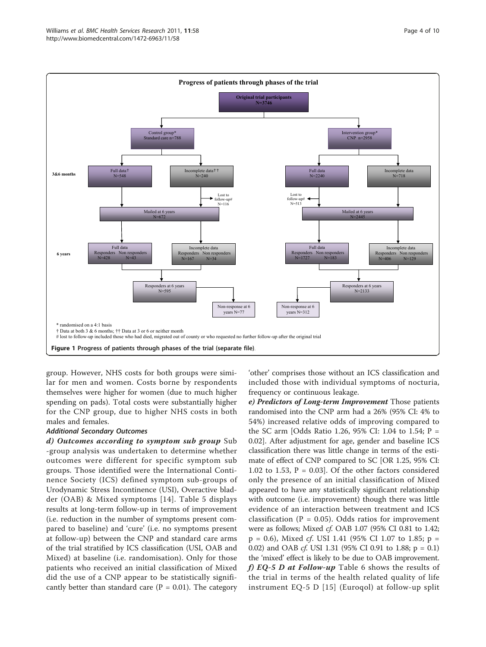<span id="page-3-0"></span>

group. However, NHS costs for both groups were similar for men and women. Costs borne by respondents themselves were higher for women (due to much higher spending on pads). Total costs were substantially higher for the CNP group, due to higher NHS costs in both males and females.

#### Additional Secondary Outcomes

d) Outcomes according to symptom sub group Sub -group analysis was undertaken to determine whether outcomes were different for specific symptom sub groups. Those identified were the International Continence Society (ICS) defined symptom sub-groups of Urodynamic Stress Incontinence (USI), Overactive bladder (OAB) & Mixed symptoms [[14](#page-8-0)]. Table [5](#page-7-0) displays results at long-term follow-up in terms of improvement (i.e. reduction in the number of symptoms present compared to baseline) and 'cure' (i.e. no symptoms present at follow-up) between the CNP and standard care arms of the trial stratified by ICS classification (USI, OAB and Mixed) at baseline (i.e. randomisation). Only for those patients who received an initial classification of Mixed did the use of a CNP appear to be statistically significantly better than standard care ( $P = 0.01$ ). The category

'other' comprises those without an ICS classification and included those with individual symptoms of nocturia, frequency or continuous leakage.

e) Predictors of Long-term Improvement Those patients randomised into the CNP arm had a 26% (95% CI: 4% to 54%) increased relative odds of improving compared to the SC arm [Odds Ratio 1.26, 95% CI: 1.04 to 1.54; P = 0.02]. After adjustment for age, gender and baseline ICS classification there was little change in terms of the estimate of effect of CNP compared to SC [OR 1.25, 95% CI: 1.02 to 1.53,  $P = 0.03$ . Of the other factors considered only the presence of an initial classification of Mixed appeared to have any statistically significant relationship with outcome (i.e. improvement) though there was little evidence of an interaction between treatment and ICS classification ( $P = 0.05$ ). Odds ratios for improvement were as follows; Mixed cf. OAB 1.07 (95% CI 0.81 to 1.42;  $p = 0.6$ ), Mixed *cf*. USI 1.41 (95% CI 1.07 to 1.85;  $p =$ 0.02) and OAB cf. USI 1.31 (95% CI 0.91 to 1.88; p = 0.1) the 'mixed' effect is likely to be due to OAB improvement. f) EQ-5 D at Follow-up Table [6](#page-7-0) shows the results of the trial in terms of the health related quality of life instrument EQ-5 D [\[15](#page-8-0)] (Euroqol) at follow-up split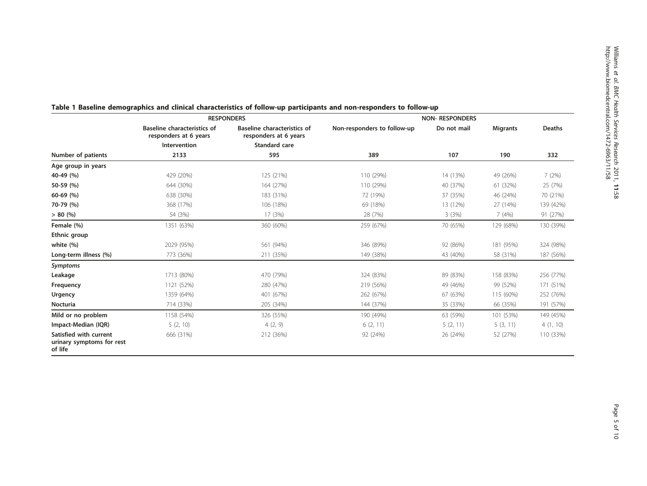:<br>88

|                                                                |                                                             | <b>RESPONDERS</b>                                    |                             | <b>NON- RESPONDERS</b> |                 |               |  |
|----------------------------------------------------------------|-------------------------------------------------------------|------------------------------------------------------|-----------------------------|------------------------|-----------------|---------------|--|
|                                                                | <b>Baseline characteristics of</b><br>responders at 6 years | Baseline characteristics of<br>responders at 6 years | Non-responders to follow-up | Do not mail            | <b>Migrants</b> | <b>Deaths</b> |  |
|                                                                | Intervention                                                | Standard care                                        |                             |                        |                 |               |  |
| Number of patients                                             | 2133                                                        | 595                                                  | 389                         | 107                    | 190             | 332           |  |
| Age group in years                                             |                                                             |                                                      |                             |                        |                 |               |  |
| 40-49 (%)                                                      | 429 (20%)                                                   | 125 (21%)                                            | 110 (29%)                   | 14 (13%)               | 49 (26%)        | 7(2%)         |  |
| 50-59 (%)                                                      | 644 (30%)                                                   | 164 (27%)                                            | 110 (29%)                   | 40 (37%)               | 61 (32%)        | 25 (7%)       |  |
| $60-69$ (%)                                                    | 638 (30%)                                                   | 183 (31%)                                            | 72 (19%)                    | 37 (35%)               | 46 (24%)        | 70 (21%)      |  |
| 70-79 (%)                                                      | 368 (17%)                                                   | 106 (18%)                                            | 69 (18%)                    | 13 (12%)               | 27 (14%)        | 139 (42%)     |  |
| $> 80$ (%)                                                     | 54 (3%)                                                     | 17 (3%)                                              | 28 (7%)                     | 3(3%)                  | 7(4%)           | 91 (27%)      |  |
| Female (%)                                                     | 1351 (63%)                                                  | 360 (60%)                                            | 259 (67%)                   | 70 (65%)               | 129 (68%)       | 130 (39%)     |  |
| Ethnic group                                                   |                                                             |                                                      |                             |                        |                 |               |  |
| white $(%)$                                                    | 2029 (95%)                                                  | 561 (94%)                                            | 346 (89%)                   | 92 (86%)               | 181 (95%)       | 324 (98%)     |  |
| Long-term illness (%)                                          | 773 (36%)                                                   | 211 (35%)                                            | 149 (38%)                   | 43 (40%)               | 58 (31%)        | 187 (56%)     |  |
| <b>Symptoms</b>                                                |                                                             |                                                      |                             |                        |                 |               |  |
| Leakage                                                        | 1713 (80%)                                                  | 470 (79%)                                            | 324 (83%)                   | 89 (83%)               | 158 (83%)       | 256 (77%)     |  |
| Frequency                                                      | 1121 (52%)                                                  | 280 (47%)                                            | 219 (56%)                   | 49 (46%)               | 99 (52%)        | 171 (51%)     |  |
| <b>Urgency</b>                                                 | 1359 (64%)                                                  | 401 (67%)                                            | 262 (67%)                   | 67 (63%)               | 115 (60%)       | 252 (76%)     |  |
| Nocturia                                                       | 714 (33%)                                                   | 205 (34%)                                            | 144 (37%)                   | 35 (33%)               | 66 (35%)        | 191 (57%)     |  |
| Mild or no problem                                             | 1158 (54%)                                                  | 326 (55%)                                            | 190 (49%)                   | 63 (59%)               | 101 (53%)       | 149 (45%)     |  |
| Impact-Median (IQR)                                            | 5(2, 10)                                                    | 4(2, 9)                                              | 6(2, 11)                    | 5(2, 11)               | 5(3, 11)        | 4(1, 10)      |  |
| Satisfied with current<br>urinary symptoms for rest<br>of life | 666 (31%)                                                   | 212 (36%)                                            | 92 (24%)                    | 26 (24%)               | 52 (27%)        | 110 (33%)     |  |

#### <span id="page-4-0"></span>Table 1 Baseline demographics and clinical characteristics of follow-up participants and non-responders to follow-up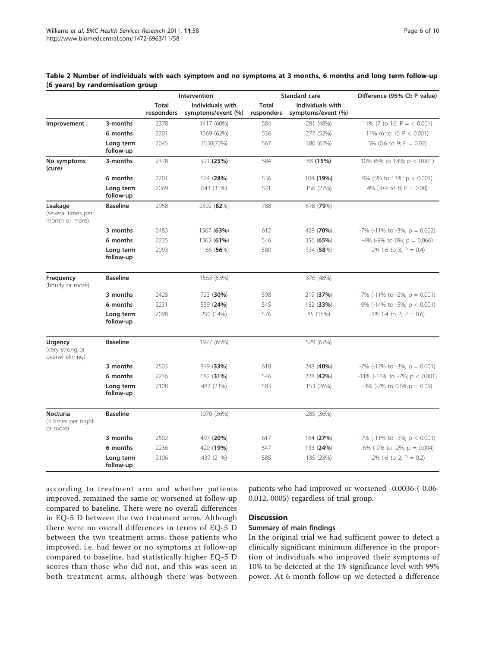|                                                    |                        | Intervention               |                                        |                            | <b>Standard care</b>                   | Difference (95% CI; P value)              |  |
|----------------------------------------------------|------------------------|----------------------------|----------------------------------------|----------------------------|----------------------------------------|-------------------------------------------|--|
|                                                    |                        | <b>Total</b><br>responders | Individuals with<br>symptoms/event (%) | <b>Total</b><br>responders | Individuals with<br>symptoms/event (%) |                                           |  |
| Improvement                                        | 3-months               | 2378                       | 1417 (60%)                             | 584                        | 281 (48%)                              | 11% (7 to 16; $P = \langle 0.001 \rangle$ |  |
|                                                    | 6 months               | 2201                       | 1369 (62%)                             | 536                        | 277 (52%)                              | 11% (6 to 15 P < 0.001)                   |  |
|                                                    | Long term<br>follow-up | 2045                       | 1530(72%)                              | 567                        | 380 (67%)                              | 5% (0.6 to 9; $P = 0.02$ )                |  |
| No symptoms<br>(cure)                              | 3-months               | 2378                       | 591 (25%)                              | 584                        | 88 (15%)                               | 10% (6% to 13%; $p < 0.001$ )             |  |
|                                                    | 6 months               | 2201                       | 624 (28%)                              | 536                        | 104 (19%)                              | 9% (5% to 13%; $p < 0.001$ )              |  |
|                                                    | Long term<br>follow-up | 2069                       | 643 (31%)                              | 571                        | 156 (27%)                              | 4% (-0.4 to 8; $P = 0.08$ )               |  |
| Leakage<br>(several times per<br>month or more)    | <b>Baseline</b>        | 2958                       | 2392 (82%)                             | 788                        | 618 (79%)                              |                                           |  |
|                                                    | 3 months               | 2483                       | 1567 (63%)                             | 612                        | 428 (70%)                              | $-7\%$ ( $-11\%$ to $-3\%$ ; p = 0.002)   |  |
|                                                    | 6 months               | 2235                       | 1362 (61%)                             | 546                        | 356 (65%)                              | $-4\%$ (-9% to 0%; p = 0.066)             |  |
|                                                    | Long term<br>follow-up | 2093                       | 1166 (56%)                             | 580                        | 334 (58%)                              | $-2\%$ (-6 to 3; P = 0.4)                 |  |
| Frequency<br>(hourly or more)                      | <b>Baseline</b>        |                            | 1563 (53%)                             |                            | 376 (48%)                              |                                           |  |
|                                                    | 3 months               | 2428                       | 723 (30%)                              | 598                        | 219 (37%)                              | $-7\%$ ( $-11\%$ to $-2\%$ ; p = 0.001)   |  |
|                                                    | 6 months               | 2231                       | 539 (24%)                              | 545                        | 182 (33%)                              | $-9\%$ (-14% to $-5\%$ ; p < 0.001)       |  |
|                                                    | Long term<br>follow-up | 2098                       | 290 (14%)                              | 576                        | 85 (15%)                               | $-1\%$ (-4 to 2; P = 0.6)                 |  |
| <b>Urgency</b><br>(very strong or<br>overwhelming) | <b>Baseline</b>        |                            | 1927 (65%)                             |                            | 529 (67%)                              |                                           |  |
|                                                    | 3 months               | 2503                       | 819 (33%)                              | 618                        | 248 (40%)                              | $-7\%$ ( $-12\%$ to $-3\%$ ; p = 0.001)   |  |
|                                                    | 6 months               | 2236                       | 682 (31%)                              | 546                        | 228 (42%)                              | $-11\%$ (-16% to $-7\%$ ; p < 0.001)      |  |
|                                                    | Long term<br>follow-up | 2108                       | 482 (23%)                              | 583                        | 153 (26%)                              | $-3\%$ ( $-7\%$ to 0.6%;p = 0.09)         |  |
| <b>Nocturia</b><br>(3 times per night<br>or more)  | <b>Baseline</b>        |                            | 1070 (36%)                             |                            | 285 (36%)                              |                                           |  |
|                                                    | 3 months               | 2502                       | 497 (20%)                              | 617                        | 164 (27%)                              | $-7\%$ (-11% to $-3\%$ ; p < 0.001)       |  |
|                                                    | 6 months               | 2236                       | 420 (19%)                              | 547                        | 133 (24%)                              | $-6\%$ (-9% to -2%; p = 0.004)            |  |
|                                                    | Long term<br>follow-up | 2106                       | 437 (21%)                              | 585                        | 135 (23%)                              | $-2\%$ (-6 to 2; P = 0.2)                 |  |

#### <span id="page-5-0"></span>Table 2 Number of individuals with each symptom and no symptoms at 3 months, 6 months and long term follow-up (6 years) by randomisation group

according to treatment arm and whether patients improved, remained the same or worsened at follow-up compared to baseline. There were no overall differences in EQ-5 D between the two treatment arms. Although there were no overall differences in terms of EQ-5 D between the two treatment arms, those patients who improved, i.e. had fewer or no symptoms at follow-up compared to baseline, had statistically higher EQ-5 D scores than those who did not, and this was seen in both treatment arms, although there was between patients who had improved or worsened -0.0036 (-0.06- 0.012, 0005) regardless of trial group.

## **Discussion**

#### Summary of main findings

In the original trial we had sufficient power to detect a clinically significant minimum difference in the proportion of individuals who improved their symptoms of 10% to be detected at the 1% significance level with 99% power. At 6 month follow-up we detected a difference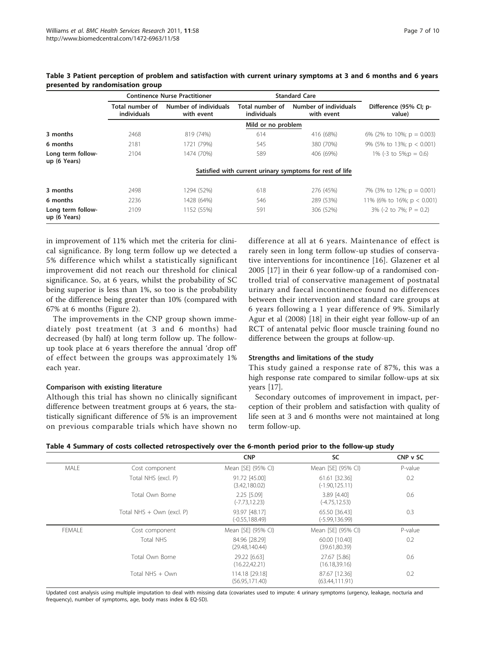|                                   | <b>Continence Nurse Practitioner</b> |                                     |                                | <b>Standard Care</b>                                     |                                  |  |
|-----------------------------------|--------------------------------------|-------------------------------------|--------------------------------|----------------------------------------------------------|----------------------------------|--|
|                                   | Total number of<br>individuals       | Number of individuals<br>with event | Total number of<br>individuals | Number of individuals<br>with event                      | Difference (95% CI; p-<br>value) |  |
|                                   |                                      |                                     | Mild or no problem             |                                                          |                                  |  |
| 3 months                          | 2468                                 | 819 (74%)                           | 614                            | 416 (68%)                                                | 6% (2% to 10%; $p = 0.003$ )     |  |
| 6 months                          | 2181                                 | 1721 (79%)                          | 545                            | 380 (70%)                                                | 9% (5% to 13%; $p < 0.001$ )     |  |
| Long term follow-<br>up (6 Years) | 2104                                 | 1474 (70%)                          | 589                            | 406 (69%)                                                | 1% (-3 to 5%; $p = 0.6$ )        |  |
|                                   |                                      |                                     |                                | Satisfied with current urinary symptoms for rest of life |                                  |  |
| 3 months                          | 2498                                 | 1294 (52%)                          | 618                            | 276 (45%)                                                | 7% (3% to 12%; $p = 0.001$ )     |  |
| 6 months                          | 2236                                 | 1428 (64%)                          | 546                            | 289 (53%)                                                | 11% (6% to 16%; $p < 0.001$ )    |  |
| Long term follow-<br>up (6 Years) | 2109                                 | 1152 (55%)                          | 591                            | 306 (52%)                                                | 3% (-2 to 7%; $P = 0.2$ )        |  |

<span id="page-6-0"></span>

| Table 3 Patient perception of problem and satisfaction with current urinary symptoms at 3 and 6 months and 6 years |  |  |
|--------------------------------------------------------------------------------------------------------------------|--|--|
| presented by randomisation group                                                                                   |  |  |

in improvement of 11% which met the criteria for clinical significance. By long term follow up we detected a 5% difference which whilst a statistically significant improvement did not reach our threshold for clinical significance. So, at 6 years, whilst the probability of SC being superior is less than 1%, so too is the probability of the difference being greater than 10% (compared with 67% at 6 months (Figure [2](#page-8-0)).

The improvements in the CNP group shown immediately post treatment (at 3 and 6 months) had decreased (by half) at long term follow up. The followup took place at 6 years therefore the annual 'drop off' of effect between the groups was approximately 1% each year.

### Comparison with existing literature

Although this trial has shown no clinically significant difference between treatment groups at 6 years, the statistically significant difference of 5% is an improvement on previous comparable trials which have shown no

difference at all at 6 years. Maintenance of effect is rarely seen in long term follow-up studies of conservative interventions for incontinence [[16\]](#page-8-0). Glazener et al 2005 [[17](#page-9-0)] in their 6 year follow-up of a randomised controlled trial of conservative management of postnatal urinary and faecal incontinence found no differences between their intervention and standard care groups at 6 years following a 1 year difference of 9%. Similarly Agur et al (2008) [[18\]](#page-9-0) in their eight year follow-up of an RCT of antenatal pelvic floor muscle training found no difference between the groups at follow-up.

#### Strengths and limitations of the study

This study gained a response rate of 87%, this was a high response rate compared to similar follow-ups at six years [[17](#page-9-0)].

Secondary outcomes of improvement in impact, perception of their problem and satisfaction with quality of life seen at 3 and 6 months were not maintained at long term follow-up.

|  |  | Table 4 Summary of costs collected retrospectively over the 6-month period prior to the follow-up study |  |
|--|--|---------------------------------------------------------------------------------------------------------|--|
|--|--|---------------------------------------------------------------------------------------------------------|--|

|               |                             | <b>CNP</b>                         | <b>SC</b>                          | CNP v SC |
|---------------|-----------------------------|------------------------------------|------------------------------------|----------|
| MALE          | Cost component              | Mean [SE] (95% CI)                 | Mean [SE] (95% CI)                 | P-value  |
|               | Total NHS (excl. P)         | 91.72 [45.00]<br>(3.42, 180.02)    | 61.61 [32.36]<br>$(-1.90, 125.11)$ | 0.2      |
|               | Total Own Borne             | 2.25 [5.09]<br>$(-7.73, 12.23)$    | 3.89 [4.40]<br>$(-4.75, 12.53)$    | 0.6      |
|               | Total NHS $+$ Own (excl. P) | 93.97 [48.17]<br>$(-0.55, 188.49)$ | 65.50 [36.43]<br>$(-5.99, 136.99)$ | 0.3      |
| <b>FEMALE</b> | Cost component              | Mean [SE] (95% CI)                 | Mean [SE] (95% CI)                 | P-value  |
|               | <b>Total NHS</b>            | 84.96 [28.29]<br>(29.48, 140.44)   | 60.00 [10.40]<br>(39.61, 80.39)    | 0.2      |
|               | Total Own Borne             | 29.22 [6.63]<br>(16.22, 42.21)     | 27.67 [5.86]<br>(16.18, 39.16)     | 0.6      |
|               | Total NHS + Own             | 114.18 [29.18]<br>(56.95, 171.40)  | 87.67 [12.36]<br>(63.44, 111.91)   | 0.2      |

Updated cost analysis using multiple imputation to deal with missing data (covariates used to impute: 4 urinary symptoms (urgency, leakage, nocturia and frequency), number of symptoms, age, body mass index & EQ-5D).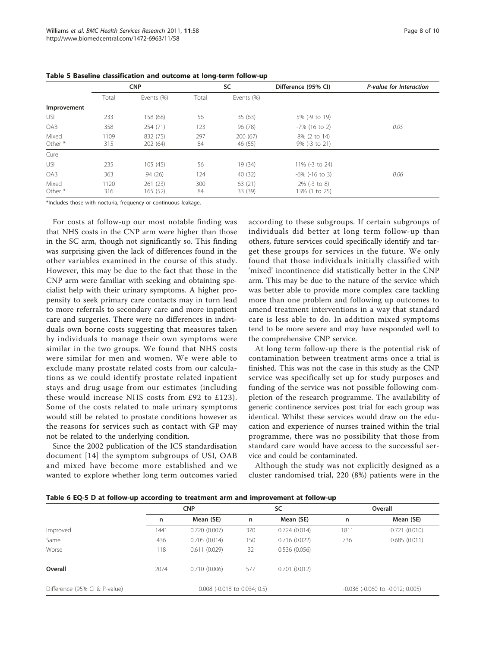|                  | <b>CNP</b>  |                      | SC        |                     | Difference (95% CI)              | P-value for Interaction |  |
|------------------|-------------|----------------------|-----------|---------------------|----------------------------------|-------------------------|--|
|                  | Total       | Events (%)           | Total     | Events (%)          |                                  |                         |  |
| Improvement      |             |                      |           |                     |                                  |                         |  |
| <b>USI</b>       | 233         | 158 (68)             | 56        | 35(63)              | 5% (-9 to 19)                    |                         |  |
| OAB              | 358         | 254 (71)             | 123       | 96 (78)             | $-7\%$ (16 to 2)                 | 0.05                    |  |
| Mixed<br>Other * | 1109<br>315 | 832 (75)<br>202 (64) | 297<br>84 | 200 (67)<br>46 (55) | 8% (2 to 14)<br>9% (-3 to 21)    |                         |  |
| Cure             |             |                      |           |                     |                                  |                         |  |
| USI              | 235         | 105 (45)             | 56        | 19 (34)             | 11% (-3 to 24)                   |                         |  |
| OAB              | 363         | 94 (26)              | 124       | 40 (32)             | $-6\%$ ( $-16$ to 3)             | 0.06                    |  |
| Mixed<br>Other * | 1120<br>316 | 261(23)<br>165 (52)  | 300<br>84 | 63(21)<br>33 (39)   | $2\%$ (-3 to 8)<br>13% (1 to 25) |                         |  |

<span id="page-7-0"></span>

|  |  | Table 5 Baseline classification and outcome at long-term follow-up |  |  |  |  |
|--|--|--------------------------------------------------------------------|--|--|--|--|
|--|--|--------------------------------------------------------------------|--|--|--|--|

\*Includes those with nocturia, frequency or continuous leakage.

For costs at follow-up our most notable finding was that NHS costs in the CNP arm were higher than those in the SC arm, though not significantly so. This finding was surprising given the lack of differences found in the other variables examined in the course of this study. However, this may be due to the fact that those in the CNP arm were familiar with seeking and obtaining specialist help with their urinary symptoms. A higher propensity to seek primary care contacts may in turn lead to more referrals to secondary care and more inpatient care and surgeries. There were no differences in individuals own borne costs suggesting that measures taken by individuals to manage their own symptoms were similar in the two groups. We found that NHS costs were similar for men and women. We were able to exclude many prostate related costs from our calculations as we could identify prostate related inpatient stays and drug usage from our estimates (including these would increase NHS costs from £92 to £123). Some of the costs related to male urinary symptoms would still be related to prostate conditions however as the reasons for services such as contact with GP may not be related to the underlying condition.

Since the 2002 publication of the ICS standardisation document [\[14\]](#page-8-0) the symptom subgroups of USI, OAB and mixed have become more established and we wanted to explore whether long term outcomes varied according to these subgroups. If certain subgroups of individuals did better at long term follow-up than others, future services could specifically identify and target these groups for services in the future. We only found that those individuals initially classified with 'mixed' incontinence did statistically better in the CNP arm. This may be due to the nature of the service which was better able to provide more complex care tackling more than one problem and following up outcomes to amend treatment interventions in a way that standard care is less able to do. In addition mixed symptoms tend to be more severe and may have responded well to the comprehensive CNP service.

At long term follow-up there is the potential risk of contamination between treatment arms once a trial is finished. This was not the case in this study as the CNP service was specifically set up for study purposes and funding of the service was not possible following completion of the research programme. The availability of generic continence services post trial for each group was identical. Whilst these services would draw on the education and experience of nurses trained within the trial programme, there was no possibility that those from standard care would have access to the successful service and could be contaminated.

Although the study was not explicitly designed as a cluster randomised trial, 220 (8%) patients were in the

Table 6 EQ-5 D at follow-up according to treatment arm and improvement at follow-up

|                               | <b>CNP</b> |                                |     | SC           |      | Overall                                  |
|-------------------------------|------------|--------------------------------|-----|--------------|------|------------------------------------------|
|                               | n          | Mean (SE)                      | n   | Mean (SE)    | n    | Mean (SE)                                |
| Improved                      | 1441       | 0.720(0.007)                   | 370 | 0.724(0.014) | 1811 | 0.721(0.010)                             |
| Same                          | 436        | 0.705(0.014)                   | 150 | 0.716(0.022) | 736  | 0.685(0.011)                             |
| Worse                         | 118        | 0.611(0.029)                   | 32  | 0.536(0.056) |      |                                          |
| Overall                       | 2074       | 0.710(0.006)                   | 577 | 0.701(0.012) |      |                                          |
| Difference (95% CI & P-value) |            | $0.008$ (-0.018 to 0.034; 0.5) |     |              |      | $-0.036$ ( $-0.060$ to $-0.012$ ; 0.005) |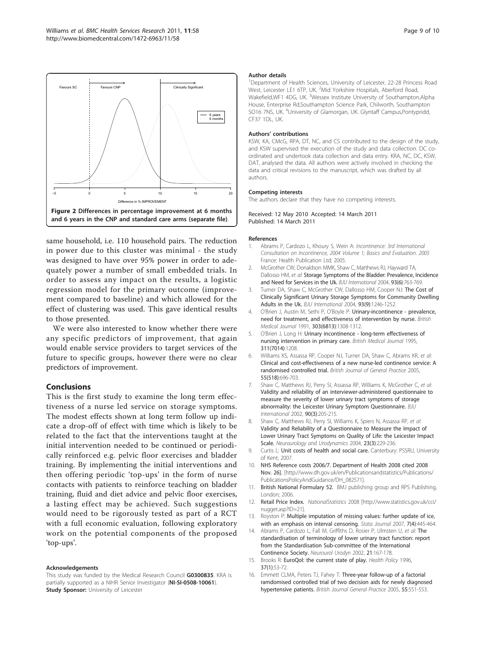<span id="page-8-0"></span>

same household, i.e. 110 household pairs. The reduction in power due to this cluster was minimal - the study was designed to have over 95% power in order to adequately power a number of small embedded trials. In order to assess any impact on the results, a logistic regression model for the primary outcome (improvement compared to baseline) and which allowed for the effect of clustering was used. This gave identical results to those presented.

We were also interested to know whether there were any specific predictors of improvement, that again would enable service providers to target services of the future to specific groups, however there were no clear predictors of improvement.

## Conclusions

This is the first study to examine the long term effectiveness of a nurse led service on storage symptoms. The modest effects shown at long term follow up indicate a drop-off of effect with time which is likely to be related to the fact that the interventions taught at the initial intervention needed to be continued or periodically reinforced e.g. pelvic floor exercises and bladder training. By implementing the initial interventions and then offering periodic 'top-ups' in the form of nurse contacts with patients to reinforce teaching on bladder training, fluid and diet advice and pelvic floor exercises, a lasting effect may be achieved. Such suggestions would need to be rigorously tested as part of a RCT with a full economic evaluation, following exploratory work on the potential components of the proposed 'top-ups'.

#### Acknowledgements

This study was funded by the Medical Research Council G0300835. KRA is partially supported as a NIHR Senior Investigator (NI-SI-0508-10061). Study Sponsor: University of Leicester

#### Author details

<sup>1</sup>Department of Health Sciences, University of Leicester, 22-28 Princess Road West, Leicester LE1 6TP, UK. <sup>2</sup>Mid Yorkshire Hospitals, Aberford Road, Wakefield,WF1 4DG, UK. <sup>3</sup>Wessex Institute University of Southampton,Alpha House, Enterprise Rd,Southampton Science Park, Chilworth, Southampton SO16 7NS, UK. <sup>4</sup>University of Glamorgan, UK. Glyntaff Campus, Pontypridd CF37 1DL, UK.

#### Authors' contributions

KSW, KA, CMcG, RPA, DT, NC, and CS contributed to the design of the study, and KSW supervised the execution of the study and data collection. DC coordinated and undertook data collection and data entry. KRA, NC, DC, KSW, DAT, analysed the data. All authors were actively involved in checking the data and critical revisions to the manuscript, which was drafted by all authors.

#### Competing interests

The authors declare that they have no competing interests.

#### Received: 12 May 2010 Accepted: 14 March 2011 Published: 14 March 2011

#### References

- 1. Abrams P, Cardozo L, Khoury S, Wein A: Incontinence: 3rd International Consultation on Incontinence, 2004 Volume 1; Basics and Evaluation. 2005 France: Health Publication Ltd; 2005.
- 2. McGrother CW, Donaldson MMK, Shaw C, Matthews RJ, Hayward TA Dallosso HM, et al: [Storage Symptoms of the Bladder: Prevalence, Incidence](http://www.ncbi.nlm.nih.gov/pubmed/15049987?dopt=Abstract) [and Need for Services in the Uk.](http://www.ncbi.nlm.nih.gov/pubmed/15049987?dopt=Abstract) BJU International 2004, 93(6):763-769.
- 3. Turner DA, Shaw C, McGrother CW, Dallosso HM, Cooper NJ: [The Cost of](http://www.ncbi.nlm.nih.gov/pubmed/15180616?dopt=Abstract) [Clinically Significant Urinary Storage Symptoms for Community Dwelling](http://www.ncbi.nlm.nih.gov/pubmed/15180616?dopt=Abstract) [Adults in the Uk.](http://www.ncbi.nlm.nih.gov/pubmed/15180616?dopt=Abstract) BJU International 2004, 93(9):1246-1252.
- 4. O'Brien J, Austin M, Sethi P, O'Boyle P: [Urinary-incontinence prevalence,](http://www.ncbi.nlm.nih.gov/pubmed/1747675?dopt=Abstract) [need for treatment, and effectiveness of intervention by nurse.](http://www.ncbi.nlm.nih.gov/pubmed/1747675?dopt=Abstract) British Medical Journal 1991, 303(6813):1308-1312.
- 5. O'Brien J, Long H: [Urinary incontinence long-term effectiveness of](http://www.ncbi.nlm.nih.gov/pubmed/7488903?dopt=Abstract) [nursing intervention in primary care.](http://www.ncbi.nlm.nih.gov/pubmed/7488903?dopt=Abstract) British Medical Journal 1995, 311(7014):1208.
- 6. Williams KS, Assassa RP, Cooper NJ, Turner DA, Shaw C, Abrams KR, et al: [Clinical and cost-effectiveness of a new nurse-led continence service: A](http://www.ncbi.nlm.nih.gov/pubmed/16176737?dopt=Abstract) [randomised controlled trial.](http://www.ncbi.nlm.nih.gov/pubmed/16176737?dopt=Abstract) British Journal of General Practice 2005, 55(518):696-703.
- 7. Shaw C, Matthews RJ, Perry SI, Assassa RP, Williams K, McGrother C, et al: [Validity and reliability of an interviewer-administered questionnaire to](http://www.ncbi.nlm.nih.gov/pubmed/12133054?dopt=Abstract) [measure the severity of lower urinary tract symptoms of storage](http://www.ncbi.nlm.nih.gov/pubmed/12133054?dopt=Abstract) [abnormality: the Leicester Urinary Symptom Questionnaire.](http://www.ncbi.nlm.nih.gov/pubmed/12133054?dopt=Abstract) BJU International 2002, 90(3):205-215.
- 8. Shaw C, Matthews RJ, Perry SI, Williams K, Spiers N, Assassa RP, et al: [Validity and Reliability of a Questionnaire to Measure the Impact of](http://www.ncbi.nlm.nih.gov/pubmed/15098218?dopt=Abstract) [Lower Urinary Tract Symptoms on Quality of Life: the Leicester Impact](http://www.ncbi.nlm.nih.gov/pubmed/15098218?dopt=Abstract) [Scale.](http://www.ncbi.nlm.nih.gov/pubmed/15098218?dopt=Abstract) Neurourology and Urodynamics 2004, 23(3):229-236.
- 9. Curtis L: Unit costs of health and social care. Canterbury: PSSRU, University of Kent; 2007.
- 10. NHS Reference costs 2006/7. Department of Health 2008 cited 2008 Nov. 26]. [\[http://www.dh.gov.uk/en/Publicationsandstatistics/Publications/](http://www.dh.gov.uk/en/Publicationsandstatistics/Publications/PublicationsPolicyAndGuidance/DH_082571) [PublicationsPolicyAndGuidance/DH\\_082571](http://www.dh.gov.uk/en/Publicationsandstatistics/Publications/PublicationsPolicyAndGuidance/DH_082571)].
- 11. British National Formulary 52. BMJ publishing group and RPS Publishing, London; 2006.
- 12. Retail Price Index. NationalStatistics 2008 [[http://www.statistics.gov.uk/cci/](http://www.statistics.gov.uk/cci/nugget.asp?ID=21) [nugget.asp?ID=21\]](http://www.statistics.gov.uk/cci/nugget.asp?ID=21).
- 13. Royston P: Multiple imputation of missing values: further update of ice, with an emphasis on interval censoring. Stata Journal 2007, 7(4):445-464.
- 14. Abrams P, Cardozo L, Fall M, Griffiths D, Rosier P, Ulmsten U, et al: [The](http://www.ncbi.nlm.nih.gov/pubmed/11857671?dopt=Abstract) [standardisation of terminology of lower urinary tract function: report](http://www.ncbi.nlm.nih.gov/pubmed/11857671?dopt=Abstract) [from the Standardisation Sub-committee of the International](http://www.ncbi.nlm.nih.gov/pubmed/11857671?dopt=Abstract) [Continence Society.](http://www.ncbi.nlm.nih.gov/pubmed/11857671?dopt=Abstract) Neurourol Urodyn 2002, 21:167-178.
- 15. Brooks R: EuroQol: [the current state of play.](http://www.ncbi.nlm.nih.gov/pubmed/10158943?dopt=Abstract) Health Policy 1996, 37(1):53-72.
- 16. Emmett CLMA, Peters TJ, Fahey T: Three-year follow-up of a factorial ramdomised controlled trial of two decision aids for newly diagnosed hypertensive patients. British Journal General Practice 2005, 55:551-553.